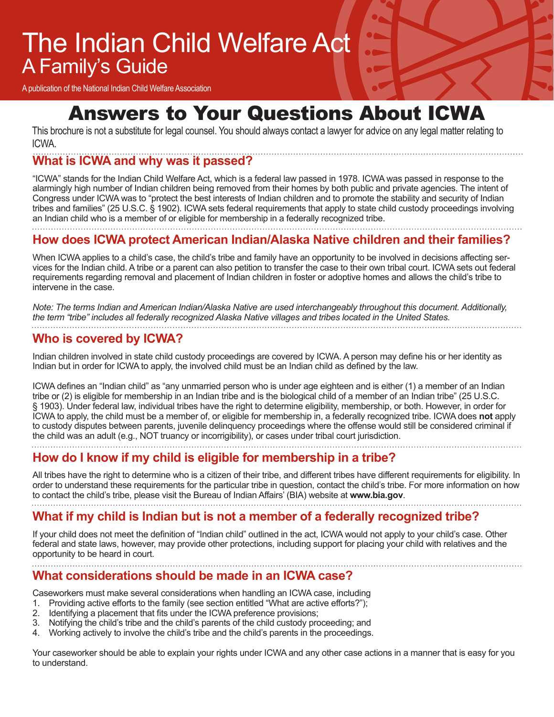## The Indian Child Welfare Act A Family's Guide

A publication of the National Indian Child Welfare Association

### Answers to Your Questions About ICWA

This brochure is not a substitute for legal counsel. You should always contact a lawyer for advice on any legal matter relating to ICWA.

### **What is ICWA and why was it passed?**

"ICWA" stands for the Indian Child Welfare Act, which is a federal law passed in 1978. ICWA was passed in response to the alarmingly high number of Indian children being removed from their homes by both public and private agencies. The intent of Congress under ICWA was to "protect the best interests of Indian children and to promote the stability and security of Indian tribes and families" (25 U.S.C. § 1902). ICWA sets federal requirements that apply to state child custody proceedings involving an Indian child who is a member of or eligible for membership in a federally recognized tribe.

**How does ICWA protect American Indian/Alaska Native children and their families?**

When ICWA applies to a child's case, the child's tribe and family have an opportunity to be involved in decisions affecting services for the Indian child. A tribe or a parent can also petition to transfer the case to their own tribal court. ICWA sets out federal requirements regarding removal and placement of Indian children in foster or adoptive homes and allows the child's tribe to intervene in the case.

*Note: The terms Indian and American Indian/Alaska Native are used interchangeably throughout this document. Additionally, the term "tribe" includes all federally recognized Alaska Native villages and tribes located in the United States.*

#### **Who is covered by ICWA?**

Indian children involved in state child custody proceedings are covered by ICWA. A person may define his or her identity as Indian but in order for ICWA to apply, the involved child must be an Indian child as defined by the law.

ICWA defines an "Indian child" as "any unmarried person who is under age eighteen and is either (1) a member of an Indian tribe or (2) is eligible for membership in an Indian tribe and is the biological child of a member of an Indian tribe" (25 U.S.C. § 1903). Under federal law, individual tribes have the right to determine eligibility, membership, or both. However, in order for ICWA to apply, the child must be a member of, or eligible for membership in, a federally recognized tribe. ICWA does **not** apply to custody disputes between parents, juvenile delinquency proceedings where the offense would still be considered criminal if the child was an adult (e.g., NOT truancy or incorrigibility), or cases under tribal court jurisdiction.

#### **How do I know if my child is eligible for membership in a tribe?**

All tribes have the right to determine who is a citizen of their tribe, and different tribes have different requirements for eligibility. In order to understand these requirements for the particular tribe in question, contact the child's tribe. For more information on how to contact the child's tribe, please visit the Bureau of Indian Affairs' (BIA) website at **www.bia.gov**.

#### **What if my child is Indian but is not a member of a federally recognized tribe?**

If your child does not meet the definition of "Indian child" outlined in the act, ICWA would not apply to your child's case. Other federal and state laws, however, may provide other protections, including support for placing your child with relatives and the opportunity to be heard in court.

#### **What considerations should be made in an ICWA case?**

Caseworkers must make several considerations when handling an ICWA case, including

- 1. Providing active efforts to the family (see section entitled "What are active efforts?");<br>2. Identifying a placement that fits under the ICWA preference provisions;
- Identifying a placement that fits under the ICWA preference provisions;
- 3. Notifying the child's tribe and the child's parents of the child custody proceeding; and
- 4. Working actively to involve the child's tribe and the child's parents in the proceedings.

Your caseworker should be able to explain your rights under ICWA and any other case actions in a manner that is easy for you to understand.